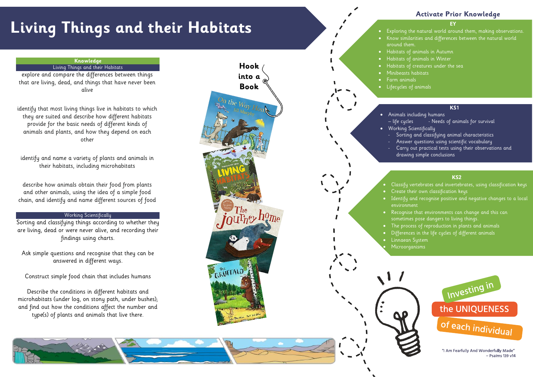# **Living Things and their Habitats**

#### **EY**

- Exploring the natural world around them, making observations. • Know similarities and differences between the natural world around them.
- Habitats of animals in Autumn

## **Activate Prior Knowledge**

## **KS1**

- life cycles Needs of animals for survival
	- drawing simple conclusions
- Habitats of animals in Winter
- Habitats of creatures under the sea • Minibeasts habitats
- Farm animals
- Lifecycles of animals
	-
- Animals including humans
- Working Scientifically
	- Sorting and classifying animal characteristics Answer questions using scientific vocabulary
	- Carry out practical tests using their observations and
	-
- Create their own classification keys
- Identify and recognise positive and negative changes to a local environment
- Recognise that environments can change and this can sometimes pose dangers to living things.
- 
- Linnaean System
- Microorganisms



## **KS2**

- Classify vertebrates and invertebrates, using classification keys
- The process of reproduction in plants and animals
- Differences in the life cycles of different animals

### **Knowledge** Living Things and their Habitats

explore and compare the differences between things that are living, dead, and things that have never been

alive

identify that most living things live in habitats to which they are suited and describe how different habitats provide for the basic needs of different kinds of animals and plants, and how they depend on each other

identify and name a variety of plants and animals in their habitats, including microhabitats

describe how animals obtain their food from plants and other animals, using the idea of a simple food chain, and identify and name different sources of food

## Working Scientifically

Sorting and classifying things according to whether they are living, dead or were never alive, and recording their findings using charts.

Ask simple questions and recognise that they can be answered in different ways.

Construct simple food chain that includes humans

Describe the conditions in different habitats and microhabitats (under log, on stony path, under bushes); and find out how the conditions affect the number and type(s) of plants and animals that live there.